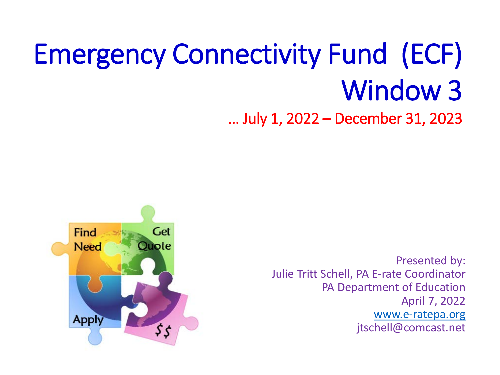# Emergency Connectivity Fund (ECF) Window 3

… July 1, 2022 – December 31, 2023



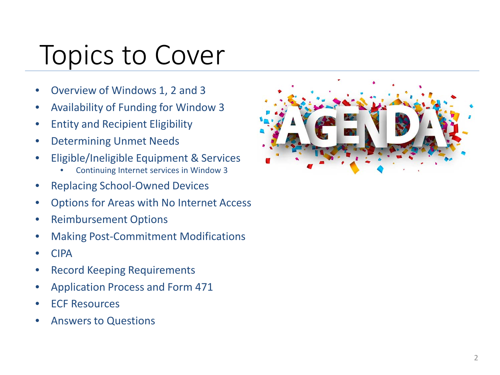### Topics to Cover

- Overview of Windows 1, 2 and 3
- Availability of Funding for Window 3
- Entity and Recipient Eligibility
- Determining Unmet Needs
- Eligible/Ineligible Equipment & Services
	- Continuing Internet services in Window 3
- Replacing School-Owned Devices
- Options for Areas with No Internet Access
- Reimbursement Options
- Making Post-Commitment Modifications
- CIPA
- Record Keeping Requirements
- Application Process and Form 471
- ECF Resources
- Answers to Questions

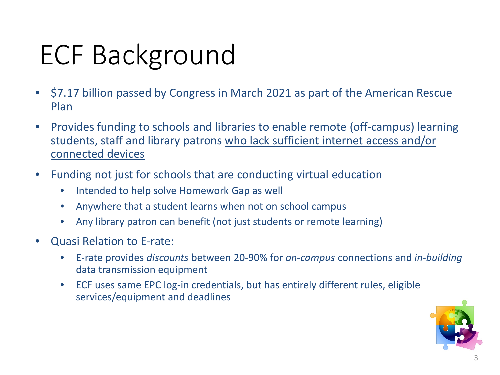# ECF Background

- \$7.17 billion passed by Congress in March 2021 as part of the American Rescue Plan
- Provides funding to schools and libraries to enable remote (off-campus) learning students, staff and library patrons who lack sufficient internet access and/or connected devices
- Funding not just for schools that are conducting virtual education
	- Intended to help solve Homework Gap as well
	- Anywhere that a student learns when not on school campus
	- Any library patron can benefit (not just students or remote learning)
- Quasi Relation to E-rate:
	- E-rate provides *discounts* between 20-90% for *on-campus* connections and *in-building* data transmission equipment
	- ECF uses same EPC log-in credentials, but has entirely different rules, eligible services/equipment and deadlines

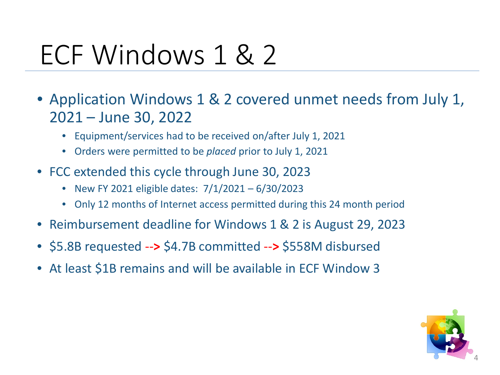### ECF Windows 1 & 2

- Application Windows 1 & 2 covered unmet needs from July 1, 2021 – June 30, 2022
	- Equipment/services had to be received on/after July 1, 2021
	- Orders were permitted to be *placed* prior to July 1, 2021
- FCC extended this cycle through June 30, 2023
	- New FY 2021 eligible dates: 7/1/2021 6/30/2023
	- Only 12 months of Internet access permitted during this 24 month period
- Reimbursement deadline for Windows 1 & 2 is August 29, 2023
- \$5.8B requested --**>** \$4.7B committed --**>** \$558M disbursed
- At least \$1B remains and will be available in ECF Window 3

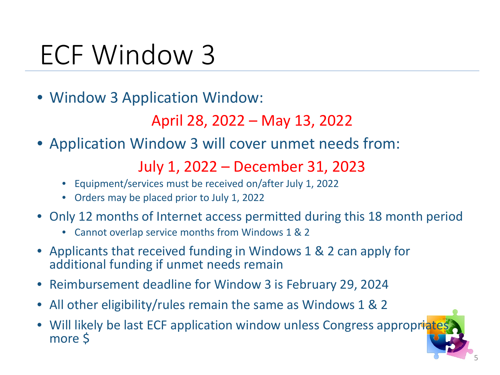### ECF Window 3

• Window 3 Application Window:

April 28, 2022 – May 13, 2022

• Application Window 3 will cover unmet needs from:

July 1, 2022 – December 31, 2023

- Equipment/services must be received on/after July 1, 2022
- Orders may be placed prior to July 1, 2022
- Only 12 months of Internet access permitted during this 18 month period
	- Cannot overlap service months from Windows 1 & 2
- Applicants that received funding in Windows 1 & 2 can apply for additional funding if unmet needs remain
- Reimbursement deadline for Window 3 is February 29, 2024
- All other eligibility/rules remain the same as Windows 1 & 2
- Will likely be last ECF application window unless Congress appropriates more \$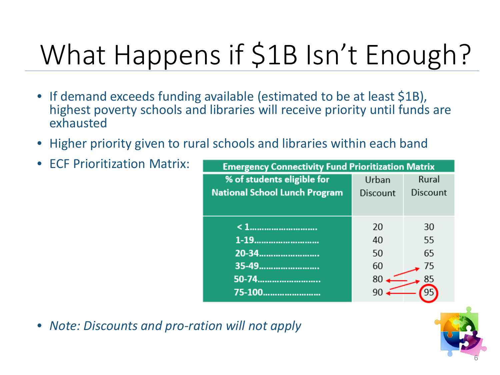# What Happens if \$1B Isn't Enough?

- If demand exceeds funding available (estimated to be at least \$1B), highest poverty schools and libraries will receive priority until funds are exhausted
- Higher priority given to rural schools and libraries within each band
- ECF Prioritization Matrix:

| <b>Emergency Connectivity Fund Prioritization Matrix</b> |          |          |
|----------------------------------------------------------|----------|----------|
| % of students eligible for                               | Urban    | Rural    |
| <b>National School Lunch Program</b>                     | Discount | Discount |
|                                                          |          |          |
|                                                          | 20       | 30       |
| 1-19                                                     | 40       | 55       |
| 20-34                                                    | 50       | 65       |
| 35-49                                                    | 60       | 75       |
| 50-74                                                    | 80       | 85       |
| 75-100                                                   |          |          |

• *Note: Discounts and pro-ration will not apply*

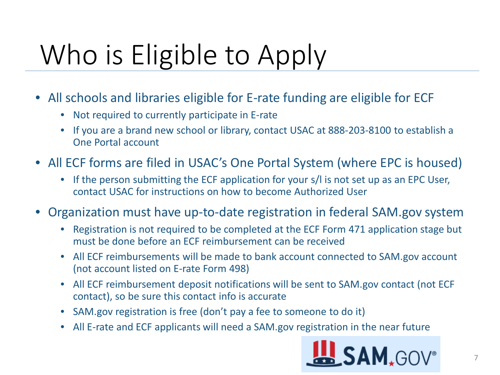# Who is Eligible to Apply

- All schools and libraries eligible for E-rate funding are eligible for ECF
	- Not required to currently participate in E-rate
	- If you are a brand new school or library, contact USAC at 888-203-8100 to establish a One Portal account
- All ECF forms are filed in USAC's One Portal System (where EPC is housed)
	- If the person submitting the ECF application for your s/l is not set up as an EPC User, contact USAC for instructions on how to become Authorized User
- Organization must have up-to-date registration in federal SAM.gov system
	- Registration is not required to be completed at the ECF Form 471 application stage but must be done before an ECF reimbursement can be received
	- All ECF reimbursements will be made to bank account connected to SAM.gov account (not account listed on E-rate Form 498)
	- All ECF reimbursement deposit notifications will be sent to SAM.gov contact (not ECF contact), so be sure this contact info is accurate
	- SAM.gov registration is free (don't pay a fee to someone to do it)
	- All E-rate and ECF applicants will need a SAM.gov registration in the near future

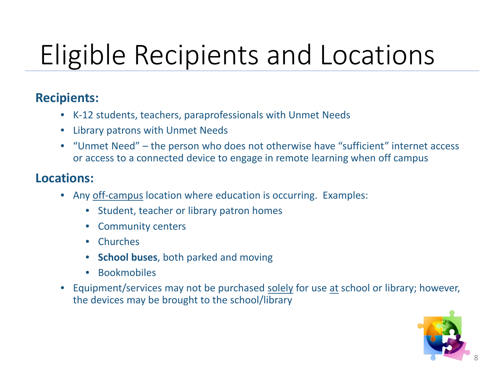# Eligible Recipients and Locations

#### **Recipients:**

- K-12 students, teachers, paraprofessionals with Unmet Needs
- Library patrons with Unmet Needs
- "Unmet Need" the person who does not otherwise have "sufficient" internet access or access to a connected device to engage in remote learning when off campus

#### **Locations:**

- Any off-campus location where education is occurring. Examples:
	- Student, teacher or library patron homes
	- Community centers
	- Churches
	- **School buses**, both parked and moving
	- **Bookmobiles**
- Equipment/services may not be purchased solely for use at school or library; however, the devices may be brought to the school/library

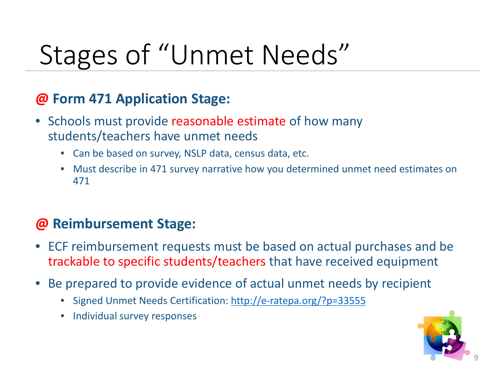# Stages of "Unmet Needs"

#### **@ Form 471 Application Stage:**

- Schools must provide reasonable estimate of how many students/teachers have unmet needs
	- Can be based on survey, NSLP data, census data, etc.
	- Must describe in 471 survey narrative how you determined unmet need estimates on 471

#### **@ Reimbursement Stage:**

- ECF reimbursement requests must be based on actual purchases and be trackable to specific students/teachers that have received equipment
- Be prepared to provide evidence of actual unmet needs by recipient
	- Signed Unmet Needs Certification:<http://e-ratepa.org/?p=33555>
	- Individual survey responses

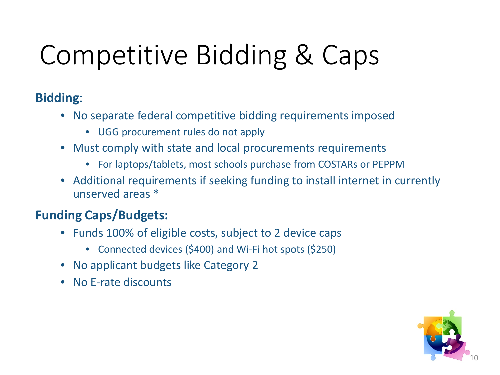# Competitive Bidding & Caps

#### **Bidding**:

- No separate federal competitive bidding requirements imposed
	- UGG procurement rules do not apply
- Must comply with state and local procurements requirements
	- For laptops/tablets, most schools purchase from COSTARs or PEPPM
- Additional requirements if seeking funding to install internet in currently unserved areas \*

#### **Funding Caps/Budgets:**

- Funds 100% of eligible costs, subject to 2 device caps
	- Connected devices (\$400) and Wi-Fi hot spots (\$250)
- No applicant budgets like Category 2
- No E-rate discounts

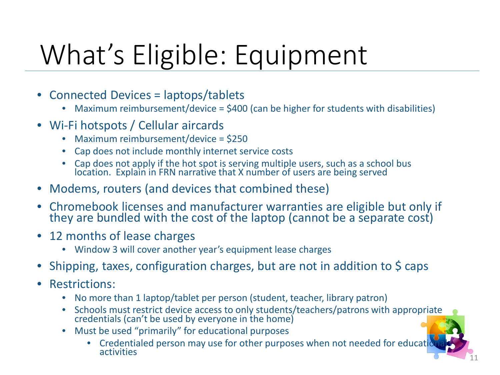# What's Eligible: Equipment

- Connected Devices = laptops/tablets
	- Maximum reimbursement/device = \$400 (can be higher for students with disabilities)
- Wi-Fi hotspots / Cellular aircards
	- Maximum reimbursement/device = \$250
	- Cap does not include monthly internet service costs
	- Cap does not apply if the hot spot is serving multiple users, such as a school bus location. Explain in FRN narrative that X number of users are being served
- Modems, routers (and devices that combined these)
- Chromebook licenses and manufacturer warranties are eligible but only if they are bundled with the cost of the laptop (cannot be a separate cost)
- 12 months of lease charges
	- Window 3 will cover another year's equipment lease charges
- Shipping, taxes, configuration charges, but are not in addition to \$ caps
- Restrictions:
	- No more than 1 laptop/tablet per person (student, teacher, library patron)
	- Schools must restrict device access to only students/teachers/patrons with appropriate credentials (can't be used by everyone in the home)
	- Must be used "primarily" for educational purposes
		- Credentialed person may use for other purposes when not needed for education<br>activities activities  $\begin{bmatrix} 1 & 1 \end{bmatrix}$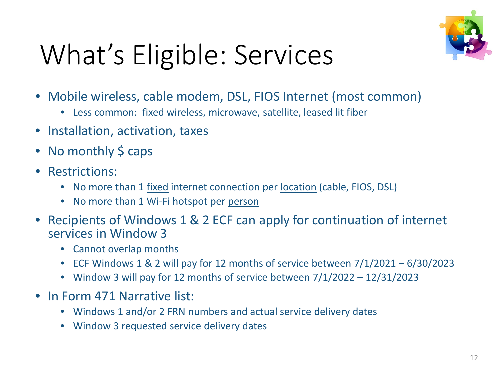

# What's Eligible: Services

- Mobile wireless, cable modem, DSL, FIOS Internet (most common)
	- Less common: fixed wireless, microwave, satellite, leased lit fiber
- Installation, activation, taxes
- No monthly  $\frac{1}{2}$  caps
- Restrictions:
	- No more than 1 fixed internet connection per location (cable, FIOS, DSL)
	- No more than 1 Wi-Fi hotspot per person
- Recipients of Windows 1 & 2 ECF can apply for continuation of internet services in Window 3
	- Cannot overlap months
	- ECF Windows 1 & 2 will pay for 12 months of service between 7/1/2021 6/30/2023
	- Window 3 will pay for 12 months of service between 7/1/2022 12/31/2023
- In Form 471 Narrative list:
	- Windows 1 and/or 2 FRN numbers and actual service delivery dates
	- Window 3 requested service delivery dates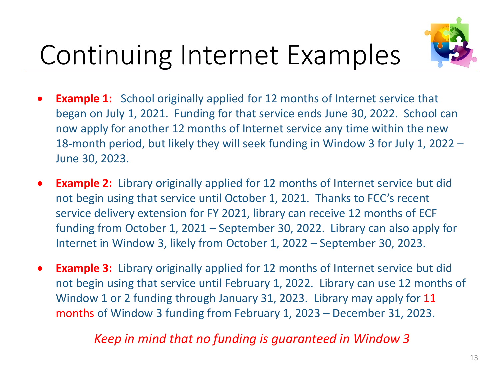

# Continuing Internet Examples

- **Example 1:** School originally applied for 12 months of Internet service that began on July 1, 2021. Funding for that service ends June 30, 2022. School can now apply for another 12 months of Internet service any time within the new 18-month period, but likely they will seek funding in Window 3 for July 1, 2022 – June 30, 2023.
- **Example 2:** Library originally applied for 12 months of Internet service but did not begin using that service until October 1, 2021. Thanks to FCC's recent service delivery extension for FY 2021, library can receive 12 months of ECF funding from October 1, 2021 – September 30, 2022. Library can also apply for Internet in Window 3, likely from October 1, 2022 – September 30, 2023.
- **Example 3:** Library originally applied for 12 months of Internet service but did not begin using that service until February 1, 2022. Library can use 12 months of Window 1 or 2 funding through January 31, 2023. Library may apply for 11 months of Window 3 funding from February 1, 2023 – December 31, 2023.

#### *Keep in mind that no funding is guaranteed in Window 3*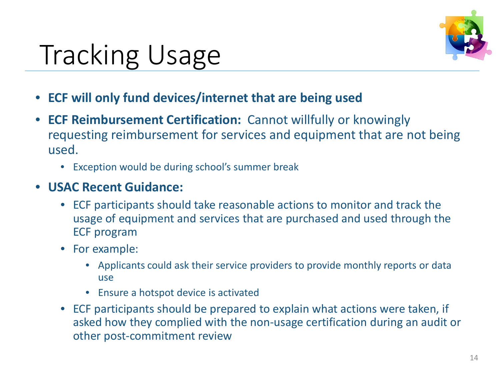

# Tracking Usage

- **ECF will only fund devices/internet that are being used**
- **ECF Reimbursement Certification:** Cannot willfully or knowingly requesting reimbursement for services and equipment that are not being used.
	- Exception would be during school's summer break
- **USAC Recent Guidance:** 
	- ECF participants should take reasonable actions to monitor and track the usage of equipment and services that are purchased and used through the ECF program
	- For example:
		- Applicants could ask their service providers to provide monthly reports or data use
		- Ensure a hotspot device is activated
	- ECF participants should be prepared to explain what actions were taken, if asked how they complied with the non-usage certification during an audit or other post-commitment review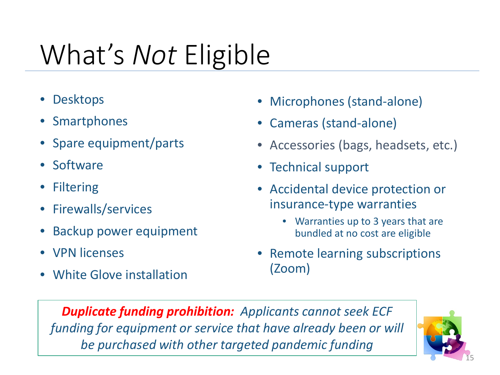# What's *Not* Eligible

- Desktops
- **Smartphones**
- Spare equipment/parts
- Software
- Filtering
- Firewalls/services
- Backup power equipment
- VPN licenses
- White Glove installation
- Microphones (stand-alone)
- Cameras (stand-alone)
- Accessories (bags, headsets, etc.)
- Technical support
- Accidental device protection or insurance-type warranties
	- Warranties up to 3 years that are bundled at no cost are eligible
- Remote learning subscriptions (Zoom)

*Duplicate funding prohibition: Applicants cannot seek ECF funding for equipment or service that have already been or will be purchased with other targeted pandemic funding*

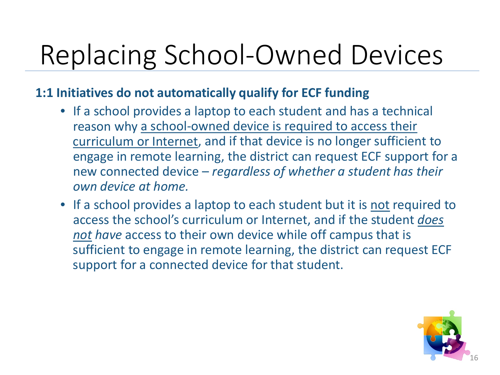# Replacing School-Owned Devices

#### **1:1 Initiatives do not automatically qualify for ECF funding**

- If a school provides a laptop to each student and has a technical reason why a school-owned device is required to access their curriculum or Internet, and if that device is no longer sufficient to engage in remote learning, the district can request ECF support for a new connected device – *regardless of whether a student has their own device at home.*
- If a school provides a laptop to each student but it is not required to access the school's curriculum or Internet, and if the student *does not have* access to their own device while off campus that is sufficient to engage in remote learning, the district can request ECF support for a connected device for that student.

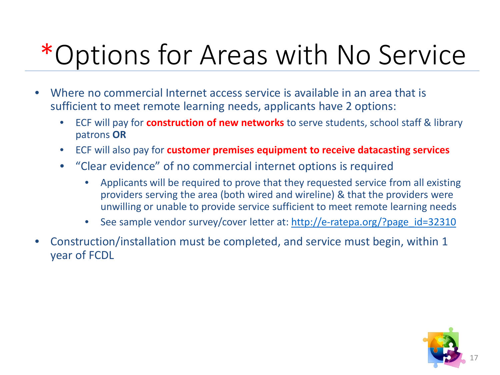# \*Options for Areas with No Service

- Where no commercial Internet access service is available in an area that is sufficient to meet remote learning needs, applicants have 2 options:
	- ECF will pay for **construction of new networks** to serve students, school staff & library patrons **OR**
	- ECF will also pay for **customer premises equipment to receive datacasting services**
	- "Clear evidence" of no commercial internet options is required
		- Applicants will be required to prove that they requested service from all existing providers serving the area (both wired and wireline) & that the providers were unwilling or unable to provide service sufficient to meet remote learning needs
		- See sample vendor survey/cover letter at: [http://e-ratepa.org/?page\\_id=32310](http://e-ratepa.org/?page_id=32310)
- Construction/installation must be completed, and service must begin, within 1 year of FCDL

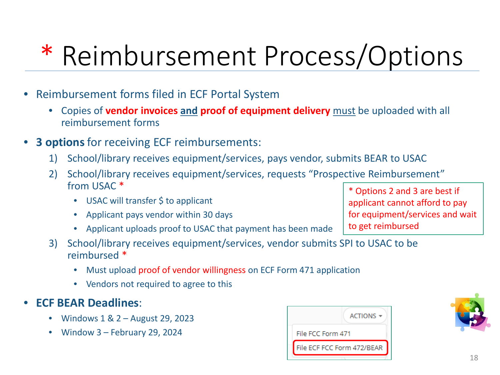# \* Reimbursement Process/Options

- Reimbursement forms filed in ECF Portal System
	- Copies of **vendor invoices and proof of equipment delivery** must be uploaded with all reimbursement forms
- **3 options** for receiving ECF reimbursements:
	- 1) School/library receives equipment/services, pays vendor, submits BEAR to USAC
	- 2) School/library receives equipment/services, requests "Prospective Reimbursement" from USAC \*
		- USAC will transfer \$ to applicant
		- Applicant pays vendor within 30 days
		- Applicant uploads proof to USAC that payment has been made
	- 3) School/library receives equipment/services, vendor submits SPI to USAC to be reimbursed \*
		- Must upload proof of vendor willingness on ECF Form 471 application
		- Vendors not required to agree to this

#### • **ECF BEAR Deadlines**:

- Windows 1 & 2 August 29, 2023
- Window 3 February 29, 2024





\* Options 2 and 3 are best if applicant cannot afford to pay for equipment/services and wait to get reimbursed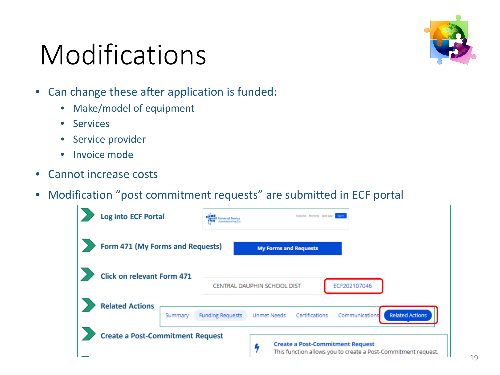### Modifications



- Can change these after application is funded:
	- Make/model of equipment
	- Services
	- Service provider
	- Invoice mode
- Cannot increase costs
- Modification "post commitment requests" are submitted in ECF portal

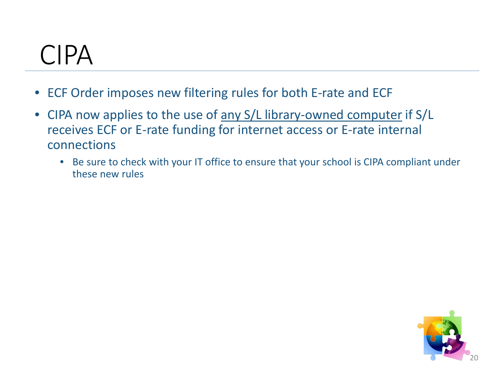### CIPA

- ECF Order imposes new filtering rules for both E-rate and ECF
- CIPA now applies to the use of any S/L library-owned computer if S/L receives ECF or E-rate funding for internet access or E-rate internal connections
	- Be sure to check with your IT office to ensure that your school is CIPA compliant under these new rules

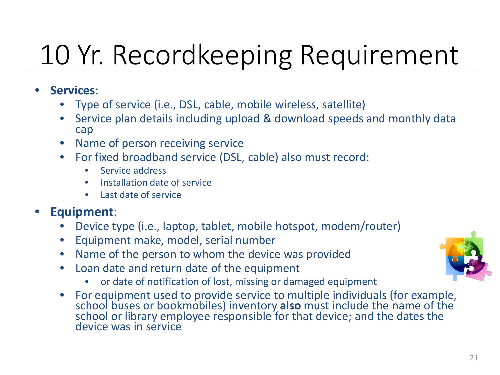# 10 Yr. Recordkeeping Requirement

- **Services**:
	- Type of service (i.e., DSL, cable, mobile wireless, satellite)
	- Service plan details including upload & download speeds and monthly data cap
	- Name of person receiving service
	- For fixed broadband service (DSL, cable) also must record:
		- Service address
		- Installation date of service
		- Last date of service

#### • **Equipment**:

- Device type (i.e., laptop, tablet, mobile hotspot, modem/router)
- Equipment make, model, serial number
- Name of the person to whom the device was provided
- Loan date and return date of the equipment
	- or date of notification of lost, missing or damaged equipment
- For equipment used to provide service to multiple individuals (for example, school buses or bookmobiles) inventory **also** must include the name of the school or library employee responsible for that device; and the dates the device was in service

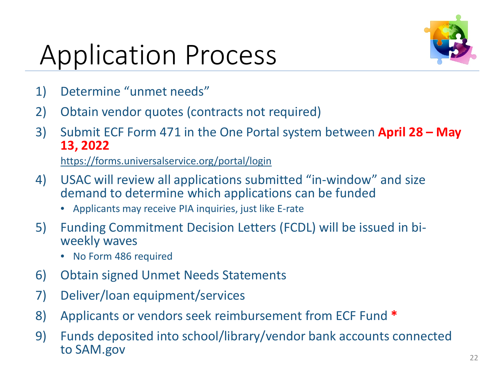# Application Process



- 1) Determine "unmet needs"
- 2) Obtain vendor quotes (contracts not required)
- 3) Submit ECF Form 471 in the One Portal system between **April 28 – May 13, 2022**

<https://forms.universalservice.org/portal/login>

- 4) USAC will review all applications submitted "in-window" and size demand to determine which applications can be funded
	- Applicants may receive PIA inquiries, just like E-rate
- 5) Funding Commitment Decision Letters (FCDL) will be issued in bi- weekly waves
	- No Form 486 required
- 6) Obtain signed Unmet Needs Statements
- 7) Deliver/loan equipment/services
- 8) Applicants or vendors seek reimbursement from ECF Fund **\***
- 9) Funds deposited into school/library/vendor bank accounts connected to SAM.gov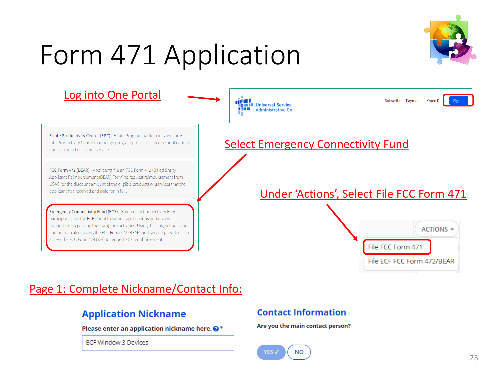# Form 471 Application





#### Page 1: Complete Nickname/Contact Info:

#### **Application Nickname**

Please enter an application nickname here.  $\bigcirc^*$ 

**ECF Window 3 Devices** 

#### **Contact Information**

Are you the main contact person?

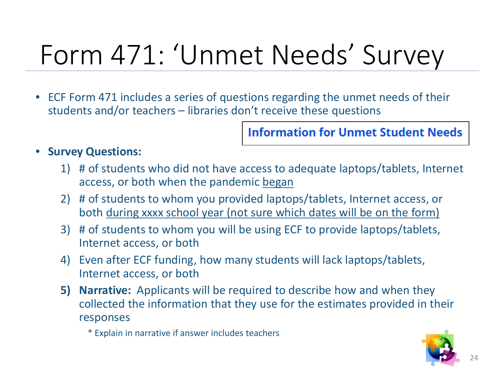# Form 471: 'Unmet Needs' Survey

• ECF Form 471 includes a series of questions regarding the unmet needs of their students and/or teachers – libraries don't receive these questions

**Information for Unmet Student Needs** 

#### • **Survey Questions:**

- 1) # of students who did not have access to adequate laptops/tablets, Internet access, or both when the pandemic began
- 2) # of students to whom you provided laptops/tablets, Internet access, or both during xxxx school year (not sure which dates will be on the form)
- 3) # of students to whom you will be using ECF to provide laptops/tablets, Internet access, or both
- 4) Even after ECF funding, how many students will lack laptops/tablets, Internet access, or both
- **5) Narrative:** Applicants will be required to describe how and when they collected the information that they use for the estimates provided in their responses

\* Explain in narrative if answer includes teachers

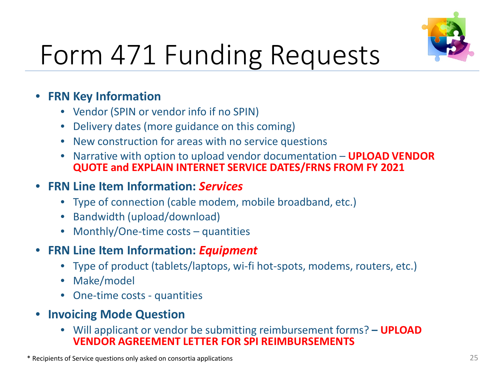

# Form 471 Funding Requests

#### • **FRN Key Information**

- Vendor (SPIN or vendor info if no SPIN)
- Delivery dates (more guidance on this coming)
- New construction for areas with no service questions
- Narrative with option to upload vendor documentation **UPLOAD VENDOR QUOTE and EXPLAIN INTERNET SERVICE DATES/FRNS FROM FY 2021**

#### • **FRN Line Item Information:** *Services*

- Type of connection (cable modem, mobile broadband, etc.)
- Bandwidth (upload/download)
- Monthly/One-time costs quantities
- **FRN Line Item Information:** *Equipment*
	- Type of product (tablets/laptops, wi-fi hot-spots, modems, routers, etc.)
	- Make/model
	- One-time costs quantities
- **Invoicing Mode Question**
	- Will applicant or vendor be submitting reimbursement forms? **– UPLOAD VENDOR AGREEMENT LETTER FOR SPI REIMBURSEMENTS**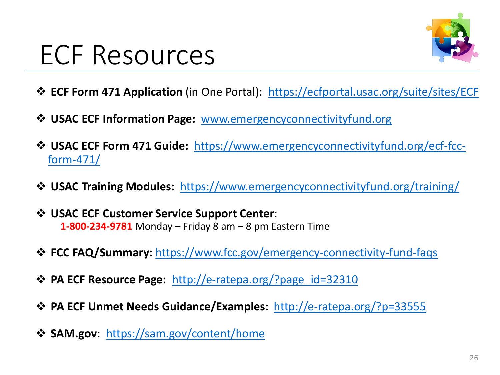### ECF Resources



- **ECF Form 471 Application** (in One Portal): [https://ecfportal.usac.org/suite/sites/ECF](https://nam10.safelinks.protection.outlook.com/?url=https%3A%2F%2Fecfportal.usac.org%2Fsuite%2Fsites%2FECFC&data=04%7C01%7Cpl-erate%40lists.psu.edu%7C4664ee4c10684d50663208d93ccc9637%7C7cf48d453ddb4389a9c1c115526eb52e%7C0%7C0%7C637607672445245090%7CUnknown%7CTWFpbGZsb3d8eyJWIjoiMC4wLjAwMDAiLCJQIjoiV2luMzIiLCJBTiI6Ik1haWwiLCJXVCI6Mn0%3D%7C2000&sdata=wbcWnmekBFriofy3Me3lpXZYtfsGld0B6vVwLd4XA7A%3D&reserved=0)
- **USAC ECF Information Page:** [www.emergencyconnectivityfund.org](http://www.emergencyconnectivityfund.org/)
- **USAC ECF Form 471 Guide:** [https://www.emergencyconnectivityfund.org/ecf-fcc](https://www.emergencyconnectivityfund.org/ecf-fcc-form-471/)form-471/
- **USAC Training Modules:** <https://www.emergencyconnectivityfund.org/training/>
- **USAC ECF Customer Service Support Center**: **1-800-234-9781** Monday – Friday 8 am – 8 pm Eastern Time
- **FCC FAQ/Summary:** [https://www.fcc.gov/emergency-connectivity-fund-faqs](https://nam10.safelinks.protection.outlook.com/?url=https%3A%2F%2Fwww.fcc.gov%2Femergency-connectivity-fund-faqs&data=04%7C01%7Cpl-erate%40lists.psu.edu%7C4664ee4c10684d50663208d93ccc9637%7C7cf48d453ddb4389a9c1c115526eb52e%7C0%7C0%7C637607672445265002%7CUnknown%7CTWFpbGZsb3d8eyJWIjoiMC4wLjAwMDAiLCJQIjoiV2luMzIiLCJBTiI6Ik1haWwiLCJXVCI6Mn0%3D%7C2000&sdata=fkkqNbolYWtTTLot7%2B6VnI4hERHoWLg2D7rQPphSdDs%3D&reserved=0)
- **EXPA ECF Resource Page:** http://e-ratepa.org/?page id=32310
- **PA ECF Unmet Needs Guidance/Examples:** http://e-ratepa.org/?p=33555
- **SAM.gov**: <https://sam.gov/content/home>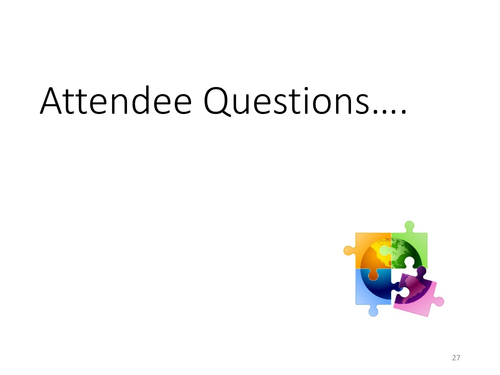# Attendee Questions….

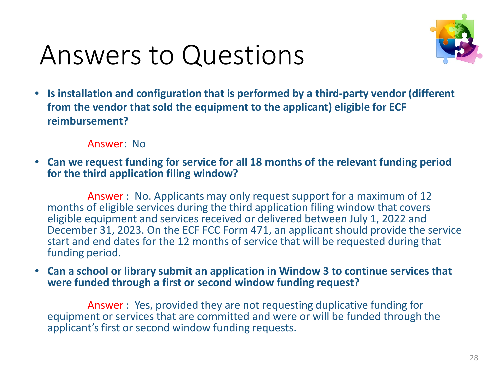

• **Is installation and configuration that is performed by a third-party vendor (different from the vendor that sold the equipment to the applicant) eligible for ECF reimbursement?**

#### Answer: No

• **Can we request funding for service for all 18 months of the relevant funding period for the third application filing window?**

Answer : No. Applicants may only request support for a maximum of 12 months of eligible services during the third application filing window that covers eligible equipment and services received or delivered between July 1, 2022 and December 31, 2023. On the ECF FCC Form 471, an applicant should provide the service start and end dates for the 12 months of service that will be requested during that funding period.

• **Can a school or library submit an application in Window 3 to continue services that were funded through a first or second window funding request?**

Answer : Yes, provided they are not requesting duplicative funding for equipment or services that are committed and were or will be funded through the applicant's first or second window funding requests.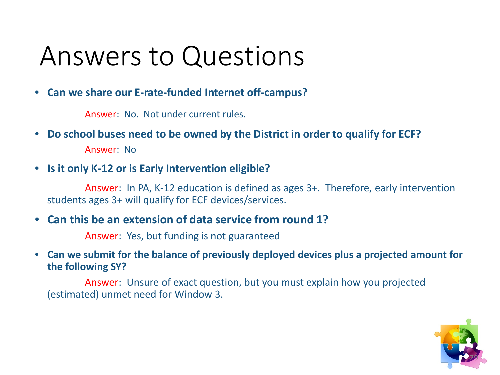• **Can we share our E-rate-funded Internet off-campus?**

Answer: No. Not under current rules.

- **Do school buses need to be owned by the District in order to qualify for ECF?** Answer: No
- **Is it only K-12 or is Early Intervention eligible?**

Answer: In PA, K-12 education is defined as ages 3+. Therefore, early intervention students ages 3+ will qualify for ECF devices/services.

• **Can this be an extension of data service from round 1?**

Answer: Yes, but funding is not guaranteed

• **Can we submit for the balance of previously deployed devices plus a projected amount for the following SY?** 

Answer: Unsure of exact question, but you must explain how you projected (estimated) unmet need for Window 3.

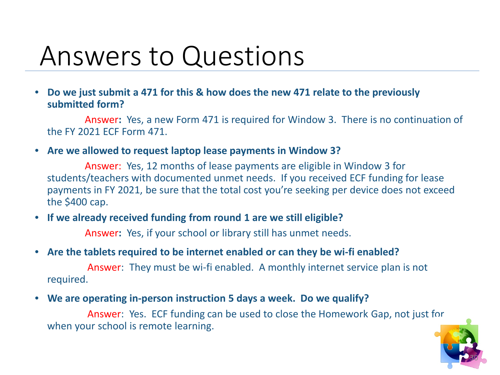• **Do we just submit a 471 for this & how does the new 471 relate to the previously submitted form?**

Answer**:** Yes, a new Form 471 is required for Window 3. There is no continuation of the FY 2021 ECF Form 471.

• **Are we allowed to request laptop lease payments in Window 3?**

Answer: Yes, 12 months of lease payments are eligible in Window 3 for students/teachers with documented unmet needs. If you received ECF funding for lease payments in FY 2021, be sure that the total cost you're seeking per device does not exceed the \$400 cap.

• **If we already received funding from round 1 are we still eligible?**

Answer**:** Yes, if your school or library still has unmet needs.

• **Are the tablets required to be internet enabled or can they be wi-fi enabled?**

Answer: They must be wi-fi enabled. A monthly internet service plan is not required.

• **We are operating in-person instruction 5 days a week. Do we qualify?**

Answer: Yes. ECF funding can be used to close the Homework Gap, not just for when your school is remote learning.